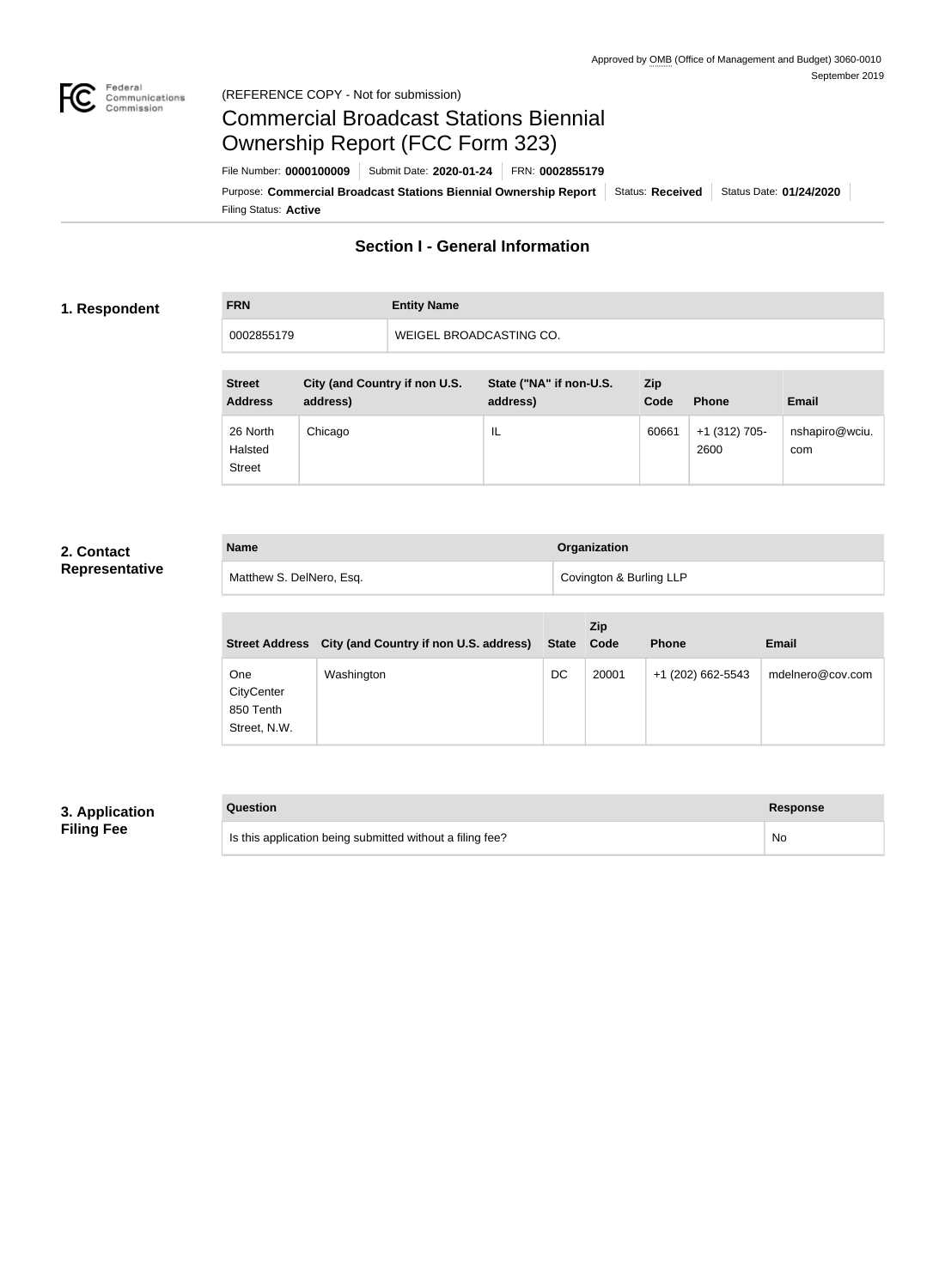

### Federal<br>Communications<br>Commission (REFERENCE COPY - Not for submission)

# Commercial Broadcast Stations Biennial Ownership Report (FCC Form 323)

Filing Status: **Active** Purpose: Commercial Broadcast Stations Biennial Ownership Report Status: Received Status Date: 01/24/2020 File Number: **0000100009** Submit Date: **2020-01-24** FRN: **0002855179**

# **Section I - General Information**

### **1. Respondent**

**FRN Entity Name** 0002855179 WEIGEL BROADCASTING CO.

| <b>Street</b><br><b>Address</b>      | City (and Country if non U.S.<br>address) | State ("NA" if non-U.S.<br>address) | <b>Zip</b><br>Code | <b>Phone</b>            | <b>Email</b>          |
|--------------------------------------|-------------------------------------------|-------------------------------------|--------------------|-------------------------|-----------------------|
| 26 North<br>Halsted<br><b>Street</b> | Chicago                                   | IL                                  | 60661              | $+1$ (312) 705-<br>2600 | nshapiro@wciu.<br>com |

## **2. Contact Representative**

| <b>Name</b>              | Organization            |
|--------------------------|-------------------------|
| Matthew S. DelNero, Esq. | Covington & Burling LLP |

| <b>Street Address</b>                                 | City (and Country if non U.S. address) | <b>State</b> | <b>Zip</b><br>Code | <b>Phone</b>      | <b>Email</b>     |
|-------------------------------------------------------|----------------------------------------|--------------|--------------------|-------------------|------------------|
| <b>One</b><br>CityCenter<br>850 Tenth<br>Street, N.W. | Washington                             | DC           | 20001              | +1 (202) 662-5543 | mdelnero@cov.com |

# **3. Application Filing Fee**

| Question                                                  | Response  |
|-----------------------------------------------------------|-----------|
| Is this application being submitted without a filing fee? | <b>No</b> |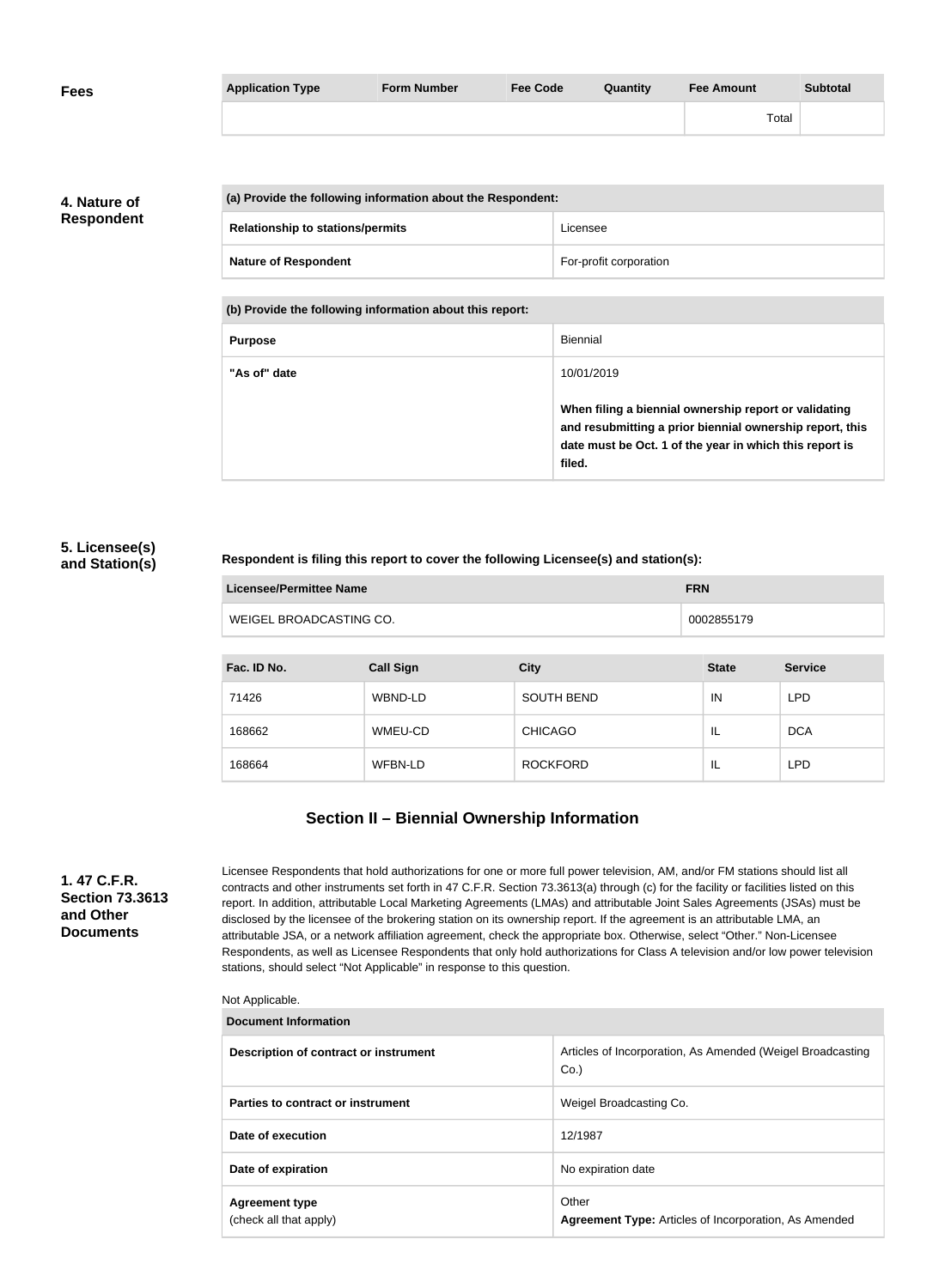| <b>Fees</b> | <b>Application Type</b> | <b>Form Number</b> | <b>Fee Code</b> | Quantity | Fee Amount | <b>Subtotal</b> |
|-------------|-------------------------|--------------------|-----------------|----------|------------|-----------------|
|             |                         |                    |                 |          | Total      |                 |

**4. Nature of Respondent**

| (a) Provide the following information about the Respondent: |                        |
|-------------------------------------------------------------|------------------------|
| <b>Relationship to stations/permits</b>                     | Licensee               |
| <b>Nature of Respondent</b>                                 | For-profit corporation |

**(b) Provide the following information about this report:**

| <b>Purpose</b> | <b>Biennial</b>                                                                                                                                                                        |
|----------------|----------------------------------------------------------------------------------------------------------------------------------------------------------------------------------------|
| "As of" date   | 10/01/2019                                                                                                                                                                             |
|                | When filing a biennial ownership report or validating<br>and resubmitting a prior biennial ownership report, this<br>date must be Oct. 1 of the year in which this report is<br>filed. |

### **5. Licensee(s) and Station(s)**

### **Respondent is filing this report to cover the following Licensee(s) and station(s):**

| Licensee/Permittee Name | <b>FRN</b> |
|-------------------------|------------|
| WEIGEL BROADCASTING CO. | 0002855179 |

| Fac. ID No. | <b>Call Sign</b> | <b>City</b>       | <b>State</b> | <b>Service</b> |
|-------------|------------------|-------------------|--------------|----------------|
| 71426       | <b>WBND-LD</b>   | <b>SOUTH BEND</b> | IN           | <b>LPD</b>     |
| 168662      | WMEU-CD          | <b>CHICAGO</b>    | IL           | <b>DCA</b>     |
| 168664      | WFBN-LD          | <b>ROCKFORD</b>   | IL           | <b>LPD</b>     |

# **Section II – Biennial Ownership Information**

**1. 47 C.F.R. Section 73.3613 and Other Documents**

Licensee Respondents that hold authorizations for one or more full power television, AM, and/or FM stations should list all contracts and other instruments set forth in 47 C.F.R. Section 73.3613(a) through (c) for the facility or facilities listed on this report. In addition, attributable Local Marketing Agreements (LMAs) and attributable Joint Sales Agreements (JSAs) must be disclosed by the licensee of the brokering station on its ownership report. If the agreement is an attributable LMA, an attributable JSA, or a network affiliation agreement, check the appropriate box. Otherwise, select "Other." Non-Licensee Respondents, as well as Licensee Respondents that only hold authorizations for Class A television and/or low power television stations, should select "Not Applicable" in response to this question.

#### Not Applicable.

| <b>Document Information</b>                     |                                                                       |  |
|-------------------------------------------------|-----------------------------------------------------------------------|--|
| Description of contract or instrument           | Articles of Incorporation, As Amended (Weigel Broadcasting<br>$Co.$ ) |  |
| Parties to contract or instrument               | Weigel Broadcasting Co.                                               |  |
| Date of execution                               | 12/1987                                                               |  |
| Date of expiration                              | No expiration date                                                    |  |
| <b>Agreement type</b><br>(check all that apply) | Other<br><b>Agreement Type:</b> Articles of Incorporation, As Amended |  |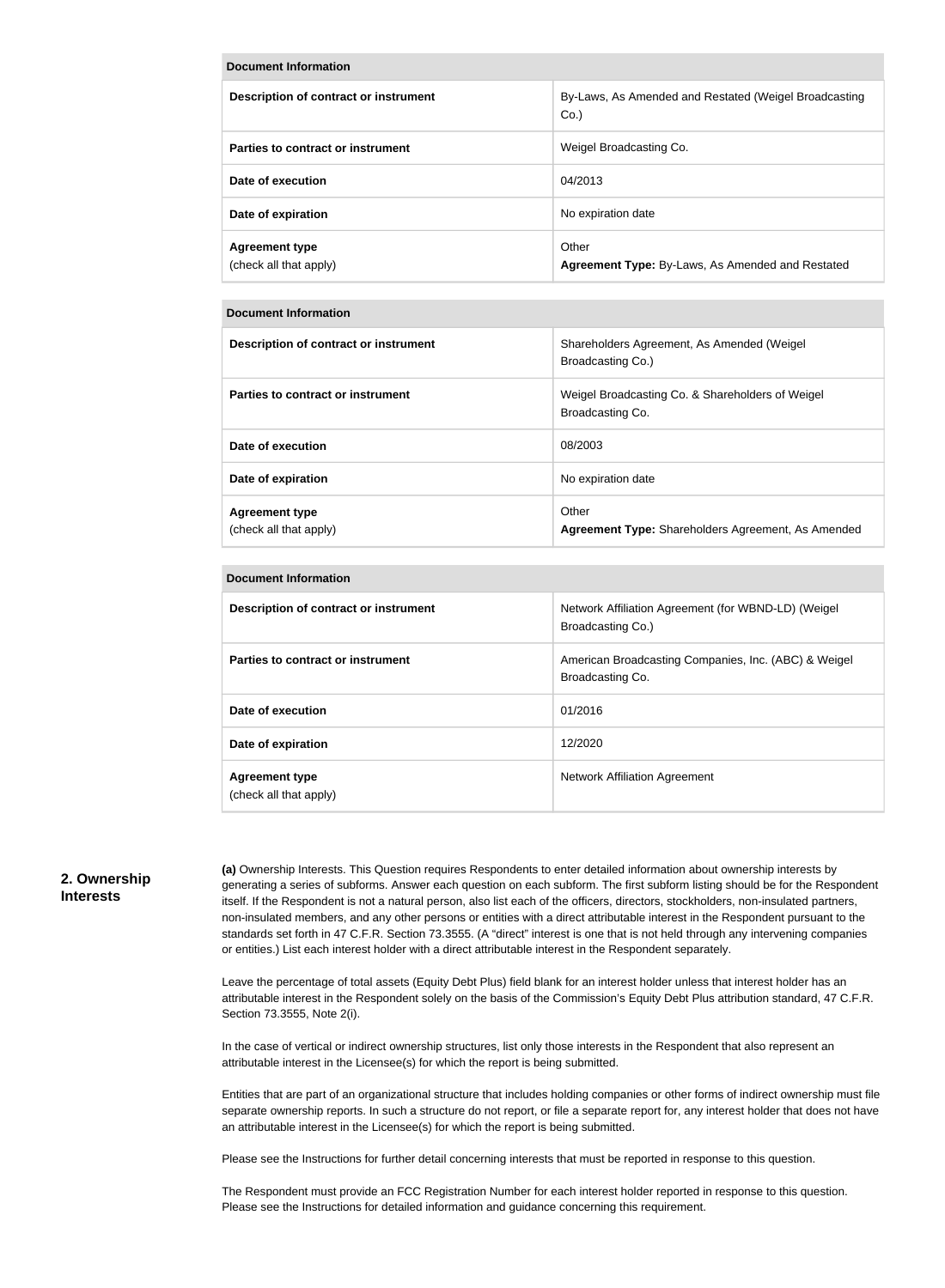#### **Document Information**

| Description of contract or instrument           | By-Laws, As Amended and Restated (Weigel Broadcasting<br>$Co.$ ) |
|-------------------------------------------------|------------------------------------------------------------------|
| Parties to contract or instrument               | Weigel Broadcasting Co.                                          |
| Date of execution                               | 04/2013                                                          |
| Date of expiration                              | No expiration date                                               |
| <b>Agreement type</b><br>(check all that apply) | Other<br>Agreement Type: By-Laws, As Amended and Restated        |

#### **Document Information**

| Description of contract or instrument           | Shareholders Agreement, As Amended (Weigel)<br>Broadcasting Co.)     |
|-------------------------------------------------|----------------------------------------------------------------------|
| Parties to contract or instrument               | Weigel Broadcasting Co. & Shareholders of Weigel<br>Broadcasting Co. |
| Date of execution                               | 08/2003                                                              |
| Date of expiration                              | No expiration date                                                   |
| <b>Agreement type</b><br>(check all that apply) | Other<br>Agreement Type: Shareholders Agreement, As Amended          |

#### **Document Information**

| Description of contract or instrument           | Network Affiliation Agreement (for WBND-LD) (Weigel<br>Broadcasting Co.) |
|-------------------------------------------------|--------------------------------------------------------------------------|
| Parties to contract or instrument               | American Broadcasting Companies, Inc. (ABC) & Weigel<br>Broadcasting Co. |
| Date of execution                               | 01/2016                                                                  |
| Date of expiration                              | 12/2020                                                                  |
| <b>Agreement type</b><br>(check all that apply) | Network Affiliation Agreement                                            |

#### **2. Ownership Interests**

**(a)** Ownership Interests. This Question requires Respondents to enter detailed information about ownership interests by generating a series of subforms. Answer each question on each subform. The first subform listing should be for the Respondent itself. If the Respondent is not a natural person, also list each of the officers, directors, stockholders, non-insulated partners, non-insulated members, and any other persons or entities with a direct attributable interest in the Respondent pursuant to the standards set forth in 47 C.F.R. Section 73.3555. (A "direct" interest is one that is not held through any intervening companies or entities.) List each interest holder with a direct attributable interest in the Respondent separately.

Leave the percentage of total assets (Equity Debt Plus) field blank for an interest holder unless that interest holder has an attributable interest in the Respondent solely on the basis of the Commission's Equity Debt Plus attribution standard, 47 C.F.R. Section 73.3555, Note 2(i).

In the case of vertical or indirect ownership structures, list only those interests in the Respondent that also represent an attributable interest in the Licensee(s) for which the report is being submitted.

Entities that are part of an organizational structure that includes holding companies or other forms of indirect ownership must file separate ownership reports. In such a structure do not report, or file a separate report for, any interest holder that does not have an attributable interest in the Licensee(s) for which the report is being submitted.

Please see the Instructions for further detail concerning interests that must be reported in response to this question.

The Respondent must provide an FCC Registration Number for each interest holder reported in response to this question. Please see the Instructions for detailed information and guidance concerning this requirement.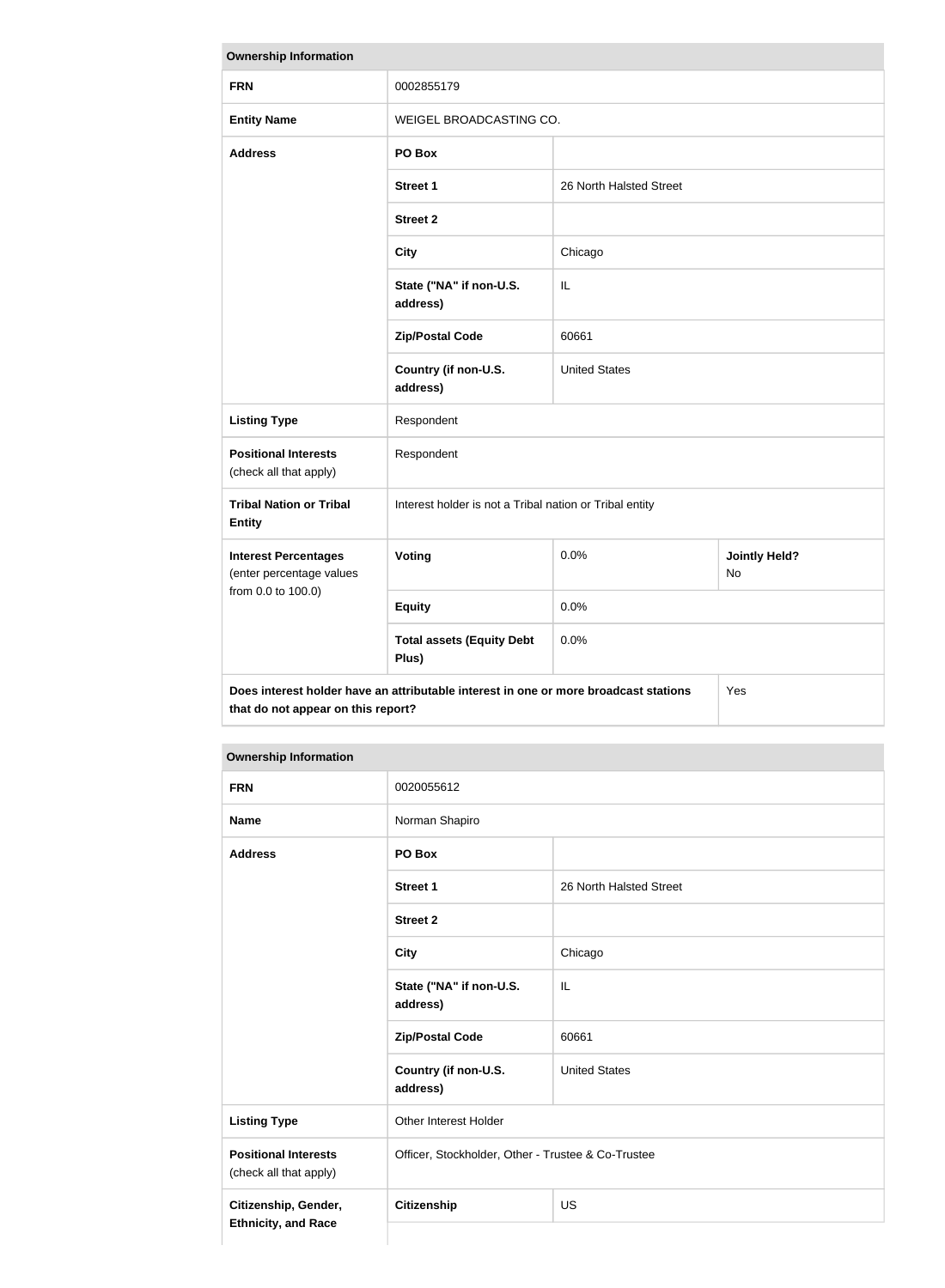| <b>Ownership Information</b>                                                                                                      |                                                         |                         |  |  |
|-----------------------------------------------------------------------------------------------------------------------------------|---------------------------------------------------------|-------------------------|--|--|
| <b>FRN</b>                                                                                                                        | 0002855179                                              |                         |  |  |
| <b>Entity Name</b>                                                                                                                | WEIGEL BROADCASTING CO.                                 |                         |  |  |
| <b>Address</b>                                                                                                                    | PO Box                                                  |                         |  |  |
|                                                                                                                                   | <b>Street 1</b>                                         | 26 North Halsted Street |  |  |
|                                                                                                                                   | <b>Street 2</b>                                         |                         |  |  |
|                                                                                                                                   | <b>City</b>                                             | Chicago                 |  |  |
|                                                                                                                                   | State ("NA" if non-U.S.<br>address)                     | IL                      |  |  |
|                                                                                                                                   | <b>Zip/Postal Code</b>                                  | 60661                   |  |  |
|                                                                                                                                   | Country (if non-U.S.<br>address)                        | <b>United States</b>    |  |  |
| <b>Listing Type</b>                                                                                                               | Respondent                                              |                         |  |  |
| <b>Positional Interests</b><br>(check all that apply)                                                                             | Respondent                                              |                         |  |  |
| <b>Tribal Nation or Tribal</b><br><b>Entity</b>                                                                                   | Interest holder is not a Tribal nation or Tribal entity |                         |  |  |
| <b>Interest Percentages</b><br>(enter percentage values                                                                           | Voting<br>0.0%<br><b>Jointly Held?</b><br>No            |                         |  |  |
| from 0.0 to 100.0)                                                                                                                | <b>Equity</b>                                           | 0.0%                    |  |  |
| 0.0%<br><b>Total assets (Equity Debt</b><br>Plus)                                                                                 |                                                         |                         |  |  |
| Does interest holder have an attributable interest in one or more broadcast stations<br>Yes<br>that do not appear on this report? |                                                         |                         |  |  |

# **Ownership Information**

| <b>FRN</b>                                                                            | 0020055612                                         |                         |
|---------------------------------------------------------------------------------------|----------------------------------------------------|-------------------------|
| <b>Name</b>                                                                           | Norman Shapiro                                     |                         |
| <b>Address</b>                                                                        | PO Box                                             |                         |
|                                                                                       | <b>Street 1</b>                                    | 26 North Halsted Street |
|                                                                                       | <b>Street 2</b>                                    |                         |
|                                                                                       | <b>City</b>                                        | Chicago                 |
|                                                                                       | State ("NA" if non-U.S.<br>address)                | IL                      |
|                                                                                       | <b>Zip/Postal Code</b>                             | 60661                   |
|                                                                                       | Country (if non-U.S.<br>address)                   | <b>United States</b>    |
| <b>Listing Type</b>                                                                   | Other Interest Holder                              |                         |
| <b>Positional Interests</b><br>(check all that apply)                                 | Officer, Stockholder, Other - Trustee & Co-Trustee |                         |
| Citizenship, Gender,<br><b>Citizenship</b><br><b>US</b><br><b>Ethnicity, and Race</b> |                                                    |                         |
|                                                                                       |                                                    |                         |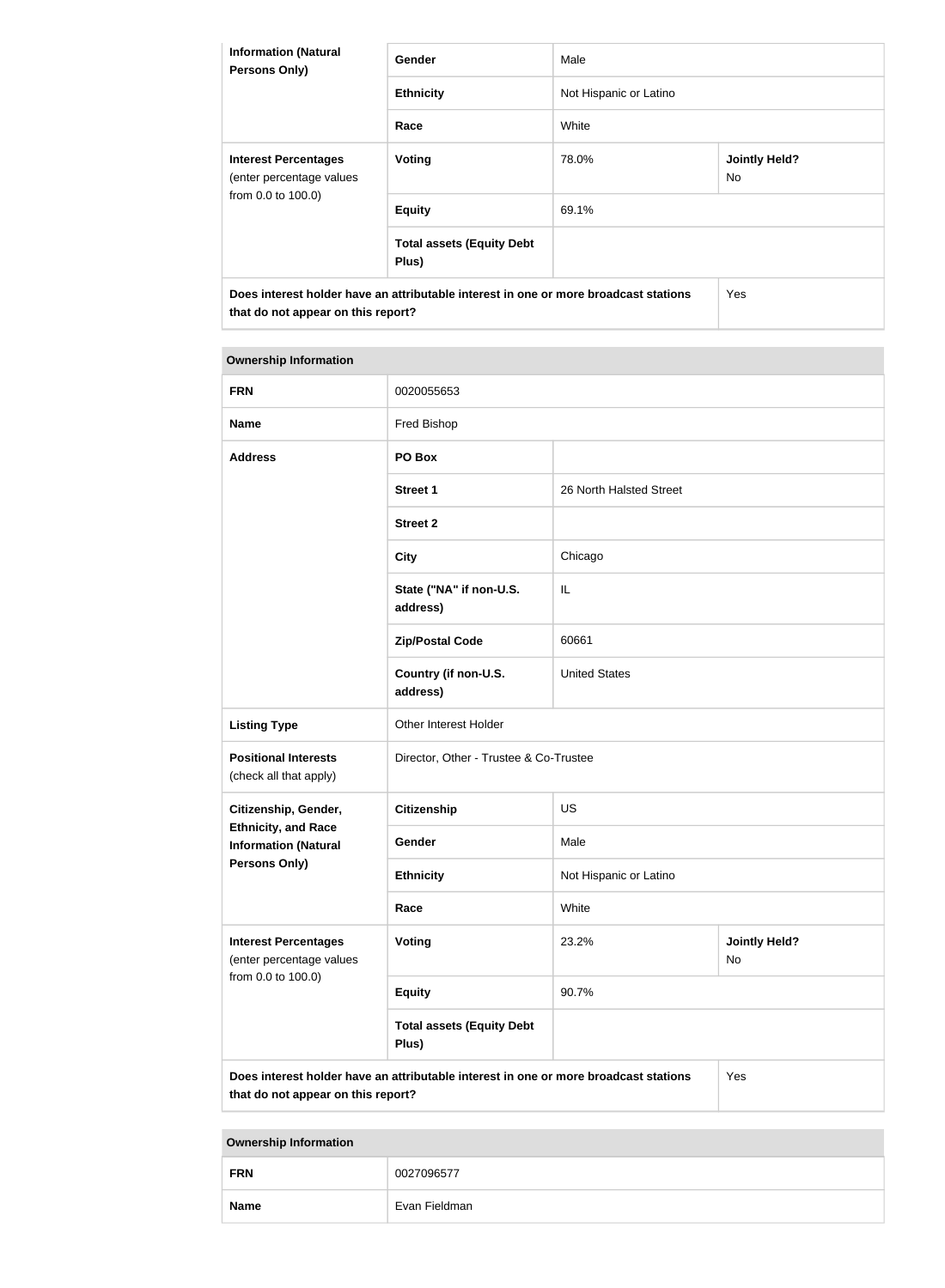| <b>Information (Natural</b><br><b>Persons Only)</b>                                                                        | <b>Gender</b>                             | Male                   |                             |  |
|----------------------------------------------------------------------------------------------------------------------------|-------------------------------------------|------------------------|-----------------------------|--|
|                                                                                                                            | <b>Ethnicity</b>                          | Not Hispanic or Latino |                             |  |
|                                                                                                                            | Race                                      | White                  |                             |  |
| <b>Interest Percentages</b><br>(enter percentage values<br>from 0.0 to 100.0)                                              | <b>Voting</b>                             | 78.0%                  | <b>Jointly Held?</b><br>No. |  |
|                                                                                                                            | <b>Equity</b>                             | 69.1%                  |                             |  |
|                                                                                                                            | <b>Total assets (Equity Debt</b><br>Plus) |                        |                             |  |
| Does interest holder have an attributable interest in one or more broadcast stations<br>that do not appear on this report? |                                           |                        | Yes                         |  |

| <b>Ownership Information</b>                                                                                                      |                                           |                         |                            |
|-----------------------------------------------------------------------------------------------------------------------------------|-------------------------------------------|-------------------------|----------------------------|
| <b>FRN</b>                                                                                                                        | 0020055653                                |                         |                            |
| <b>Name</b>                                                                                                                       | Fred Bishop                               |                         |                            |
| <b>Address</b>                                                                                                                    | PO Box                                    |                         |                            |
|                                                                                                                                   | <b>Street 1</b>                           | 26 North Halsted Street |                            |
|                                                                                                                                   | <b>Street 2</b>                           |                         |                            |
|                                                                                                                                   | <b>City</b>                               | Chicago                 |                            |
|                                                                                                                                   | State ("NA" if non-U.S.<br>address)       | IL                      |                            |
|                                                                                                                                   | <b>Zip/Postal Code</b>                    | 60661                   |                            |
|                                                                                                                                   | Country (if non-U.S.<br>address)          | <b>United States</b>    |                            |
| <b>Listing Type</b>                                                                                                               | Other Interest Holder                     |                         |                            |
| <b>Positional Interests</b><br>(check all that apply)                                                                             | Director, Other - Trustee & Co-Trustee    |                         |                            |
| Citizenship, Gender,                                                                                                              | <b>Citizenship</b>                        | <b>US</b>               |                            |
| <b>Ethnicity, and Race</b><br><b>Information (Natural</b>                                                                         | Gender                                    | Male                    |                            |
| Persons Only)                                                                                                                     | <b>Ethnicity</b>                          | Not Hispanic or Latino  |                            |
|                                                                                                                                   | Race                                      | White                   |                            |
| <b>Interest Percentages</b><br>(enter percentage values                                                                           | Voting                                    | 23.2%                   | <b>Jointly Held?</b><br>No |
| from 0.0 to 100.0)                                                                                                                | <b>Equity</b>                             | 90.7%                   |                            |
|                                                                                                                                   | <b>Total assets (Equity Debt</b><br>Plus) |                         |                            |
| Does interest holder have an attributable interest in one or more broadcast stations<br>Yes<br>that do not appear on this report? |                                           |                         |                            |

**Ownership Information**

| --          |               |  |
|-------------|---------------|--|
| <b>FRN</b>  | 0027096577    |  |
| <b>Name</b> | Evan Fieldman |  |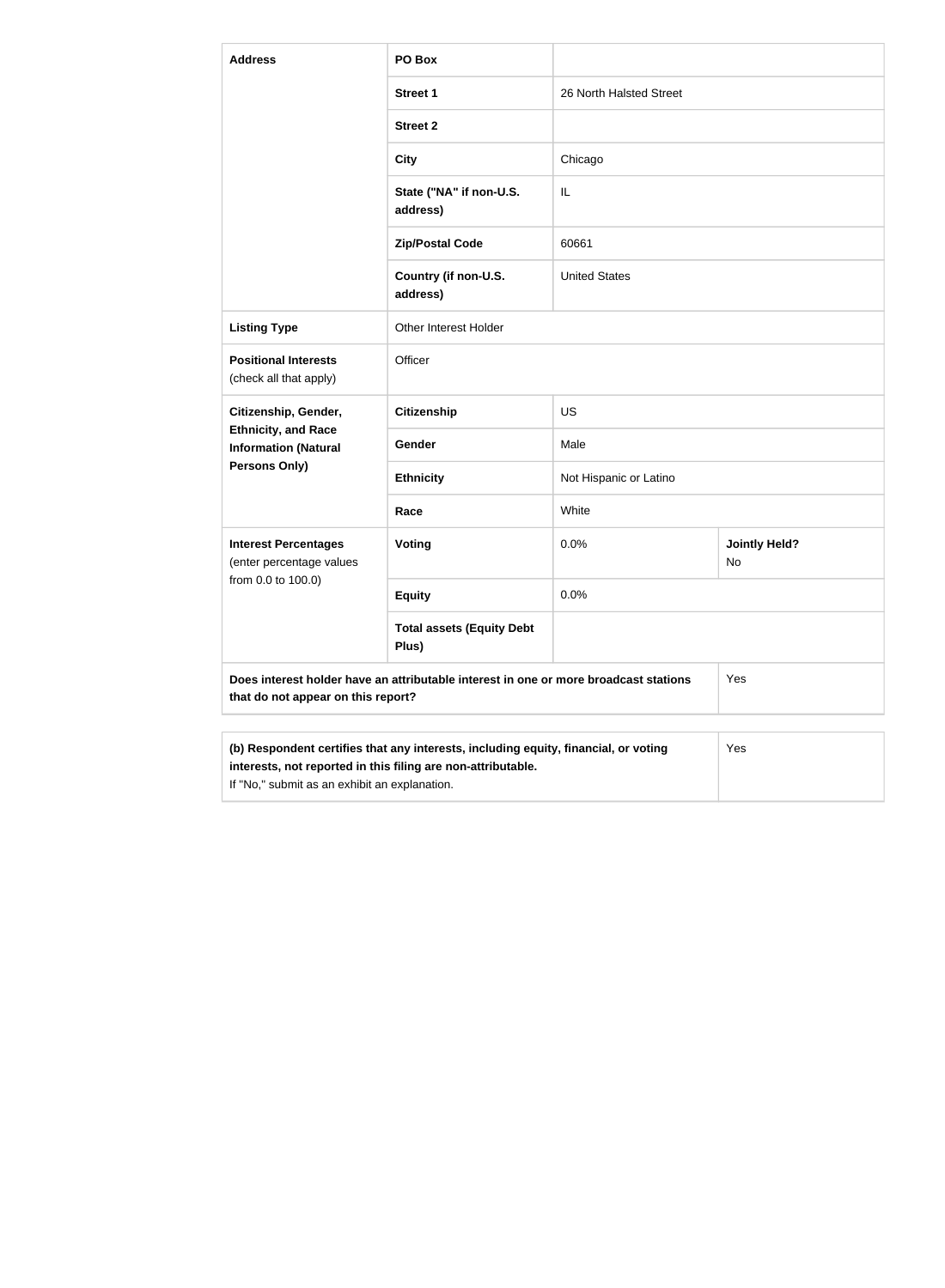| <b>Address</b>                                            | PO Box                                                                               |                         |                            |
|-----------------------------------------------------------|--------------------------------------------------------------------------------------|-------------------------|----------------------------|
|                                                           | <b>Street 1</b>                                                                      | 26 North Halsted Street |                            |
|                                                           | <b>Street 2</b>                                                                      |                         |                            |
|                                                           | <b>City</b>                                                                          | Chicago                 |                            |
|                                                           | State ("NA" if non-U.S.<br>address)                                                  | IL                      |                            |
|                                                           | <b>Zip/Postal Code</b>                                                               | 60661                   |                            |
|                                                           | Country (if non-U.S.<br>address)                                                     | <b>United States</b>    |                            |
| <b>Listing Type</b>                                       | Other Interest Holder                                                                |                         |                            |
| <b>Positional Interests</b><br>(check all that apply)     | Officer                                                                              |                         |                            |
| Citizenship, Gender,                                      | <b>Citizenship</b>                                                                   | <b>US</b>               |                            |
| <b>Ethnicity, and Race</b><br><b>Information (Natural</b> | Gender                                                                               | Male                    |                            |
| <b>Persons Only)</b>                                      | <b>Ethnicity</b>                                                                     | Not Hispanic or Latino  |                            |
|                                                           | Race                                                                                 | White                   |                            |
| <b>Interest Percentages</b><br>(enter percentage values   | Voting                                                                               | 0.0%                    | <b>Jointly Held?</b><br>No |
| from 0.0 to 100.0)                                        | <b>Equity</b>                                                                        | 0.0%                    |                            |
|                                                           | <b>Total assets (Equity Debt</b><br>Plus)                                            |                         |                            |
| that do not appear on this report?                        | Does interest holder have an attributable interest in one or more broadcast stations |                         | Yes                        |
|                                                           | (b) Respondent certifies that any interests, including equity, financial, or voting  |                         | Yes                        |

| interests, not reported in this filing are non-attributable. |
|--------------------------------------------------------------|
|                                                              |

If "No," submit as an exhibit an explanation.

| 3 |  |  |  |
|---|--|--|--|
|   |  |  |  |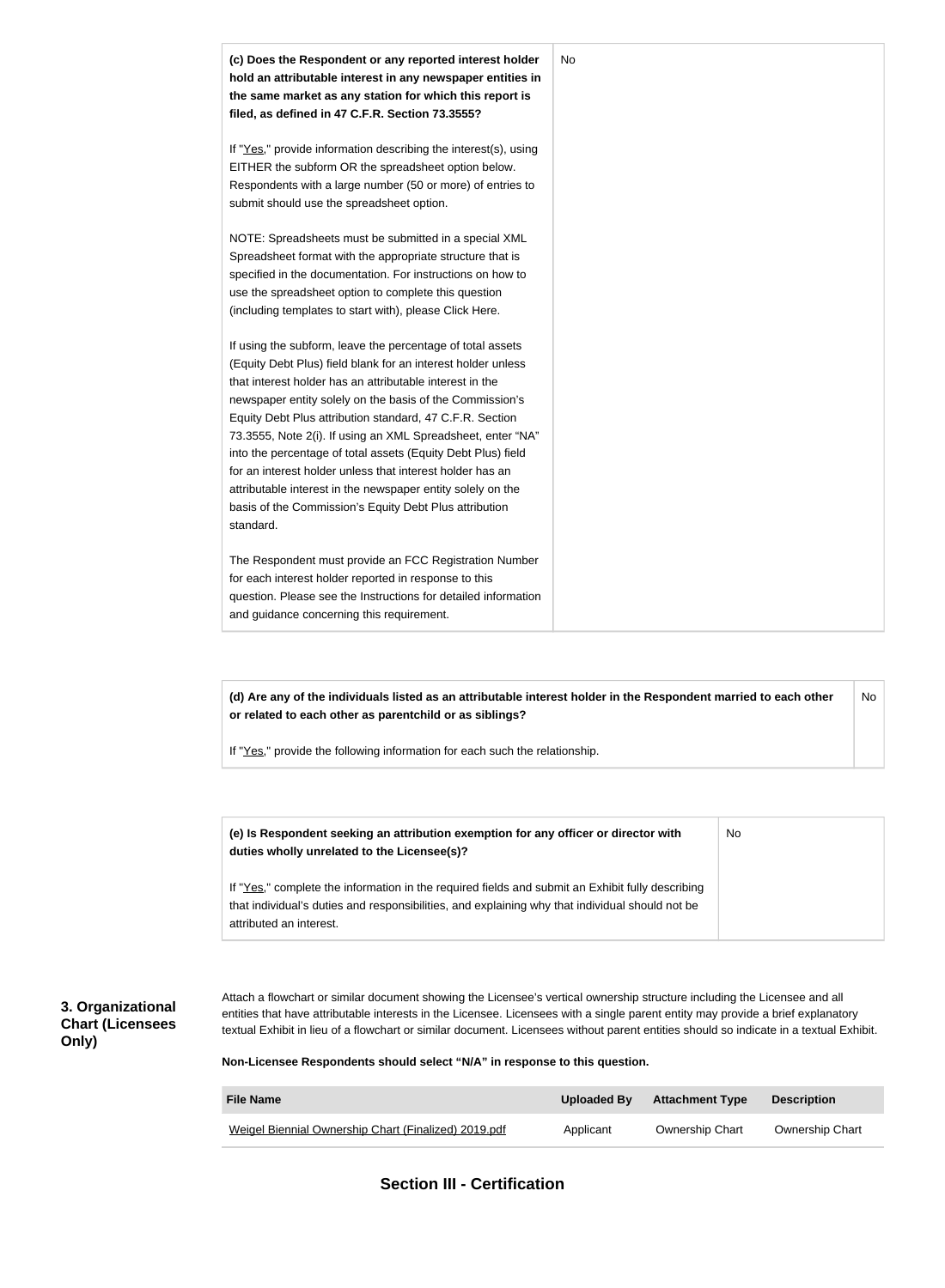

**(d) Are any of the individuals listed as an attributable interest holder in the Respondent married to each other or related to each other as parentchild or as siblings?** No

If "Yes," provide the following information for each such the relationship.

| (e) Is Respondent seeking an attribution exemption for any officer or director with<br>duties wholly unrelated to the Licensee(s)?                                                                                             | No |
|--------------------------------------------------------------------------------------------------------------------------------------------------------------------------------------------------------------------------------|----|
| If "Yes," complete the information in the required fields and submit an Exhibit fully describing<br>that individual's duties and responsibilities, and explaining why that individual should not be<br>attributed an interest. |    |

### **3. Organizational Chart (Licensees Only)**

Attach a flowchart or similar document showing the Licensee's vertical ownership structure including the Licensee and all entities that have attributable interests in the Licensee. Licensees with a single parent entity may provide a brief explanatory textual Exhibit in lieu of a flowchart or similar document. Licensees without parent entities should so indicate in a textual Exhibit.

**Non-Licensee Respondents should select "N/A" in response to this question.**

| <b>File Name</b>                                     | Uploaded By | <b>Attachment Type</b> | <b>Description</b>     |
|------------------------------------------------------|-------------|------------------------|------------------------|
| Weigel Biennial Ownership Chart (Finalized) 2019.pdf | Applicant   | <b>Ownership Chart</b> | <b>Ownership Chart</b> |